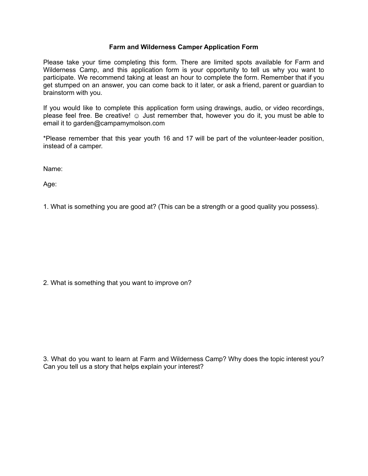## **Farm and Wilderness Camper Application Form**

Please take your time completing this form. There are limited spots available for Farm and Wilderness Camp, and this application form is your opportunity to tell us why you want to participate. We recommend taking at least an hour to complete the form. Remember that if you get stumped on an answer, you can come back to it later, or ask a friend, parent or guardian to brainstorm with you.

If you would like to complete this application form using drawings, audio, or video recordings, please feel free. Be creative!  $\odot$  Just remember that, however you do it, you must be able to email it to garden@campamymolson.com

\*Please remember that this year youth 16 and 17 will be part of the volunteer-leader position, instead of a camper.

Name:

Age:

1. What is something you are good at? (This can be a strength or a good quality you possess).

2. What is something that you want to improve on?

3. What do you want to learn at Farm and Wilderness Camp? Why does the topic interest you? Can you tell us a story that helps explain your interest?